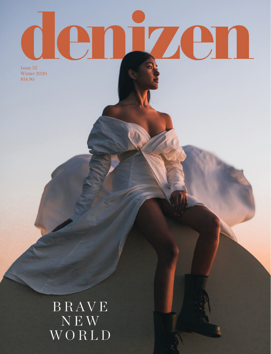

film producer, Michael White. **Best piece of advice:** You can be the ripest, in the ripest, i.e.,  $\mathbf{p}$ world, but there will always be someone who doesn't like peaches. WORLD

visually impressive content during lockdown, Fran is the Art Director

> Parfait from Ponsonby Road Bistro. **Best thing you watched during lockdown:** *Giri/Haji* a Japanese/

**Margie Cooney**

Joining Denizen as a junior writer in 2017, Margie quickly proved her prowess on the page in both written words and expertise photographic shoots. Margie joins us on this issue as a freelance writer.

**lockdown:** *The Boy, The Mole,* 

this one of the shelves.

be quiet.

are universal. Everyone should have

**Best piece of advice:** When you're wrong, admit it. When you re right, and

**Best piece of advice:** It's too late

**Best thing you watched during lockdown:** *The Peanut* 

**Best piece of advice:** Do what is

*Butter Falcon.*

An ode to Denizen's longest

serving contributors.

**Fliss Grennell**

Engine Room.

Having joined us in 2017, our Advertising Manager Fliss has taken Denizen to unprecedented new heights thanks that the health thanks that understanding of the Denizen brand. A much loved member of our full time staff under the girl we allow the girl we

**Best thing you watched during lockdown:** *The Last Impresario*, a documentary about prolific British theatre impresario and